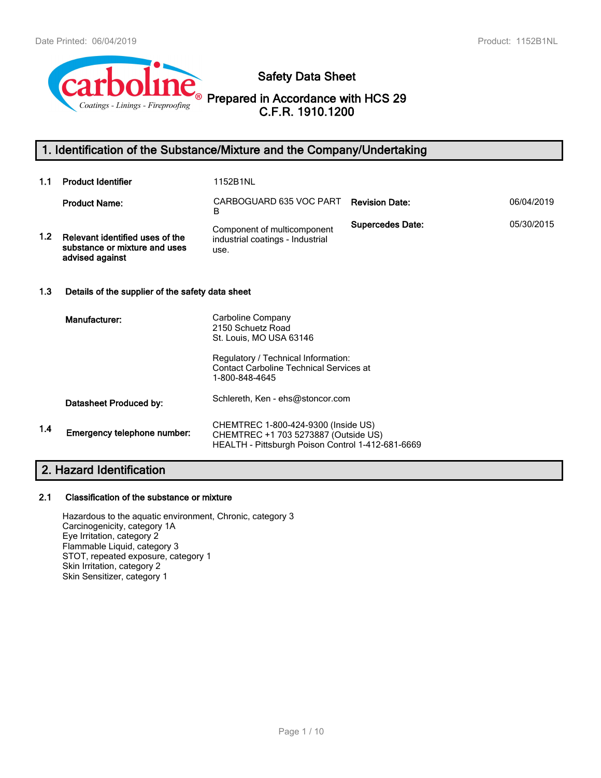

**Safety Data Sheet**

**Prepared in Accordance with HCS 29 C.F.R. 1910.1200**

# **1. Identification of the Substance/Mixture and the Company/Undertaking**

| 1.1              | <b>Product Identifier</b>                                                           | 1152B1NL                                                                                                                                                                     |                         |            |  |  |
|------------------|-------------------------------------------------------------------------------------|------------------------------------------------------------------------------------------------------------------------------------------------------------------------------|-------------------------|------------|--|--|
|                  | <b>Product Name:</b>                                                                | CARBOGUARD 635 VOC PART<br><sub>B</sub>                                                                                                                                      | <b>Revision Date:</b>   | 06/04/2019 |  |  |
| 1.2 <sub>2</sub> | Relevant identified uses of the<br>substance or mixture and uses<br>advised against | Component of multicomponent<br>industrial coatings - Industrial<br>use.                                                                                                      | <b>Supercedes Date:</b> | 05/30/2015 |  |  |
| 1.3              | Details of the supplier of the safety data sheet                                    |                                                                                                                                                                              |                         |            |  |  |
|                  | Manufacturer:                                                                       | Carboline Company<br>2150 Schuetz Road<br>St. Louis, MO USA 63146<br>Regulatory / Technical Information:<br><b>Contact Carboline Technical Services at</b><br>1-800-848-4645 |                         |            |  |  |
|                  | Datasheet Produced by:                                                              | Schlereth, Ken - ehs@stoncor.com                                                                                                                                             |                         |            |  |  |
| 1.4              | Emergency telephone number:                                                         | CHEMTREC 1-800-424-9300 (Inside US)<br>CHEMTREC +1 703 5273887 (Outside US)<br>HEALTH - Pittsburgh Poison Control 1-412-681-6669                                             |                         |            |  |  |
|                  |                                                                                     |                                                                                                                                                                              |                         |            |  |  |

## **2. Hazard Identification**

## **2.1 Classification of the substance or mixture**

Hazardous to the aquatic environment, Chronic, category 3 Carcinogenicity, category 1A Eye Irritation, category 2 Flammable Liquid, category 3 STOT, repeated exposure, category 1 Skin Irritation, category 2 Skin Sensitizer, category 1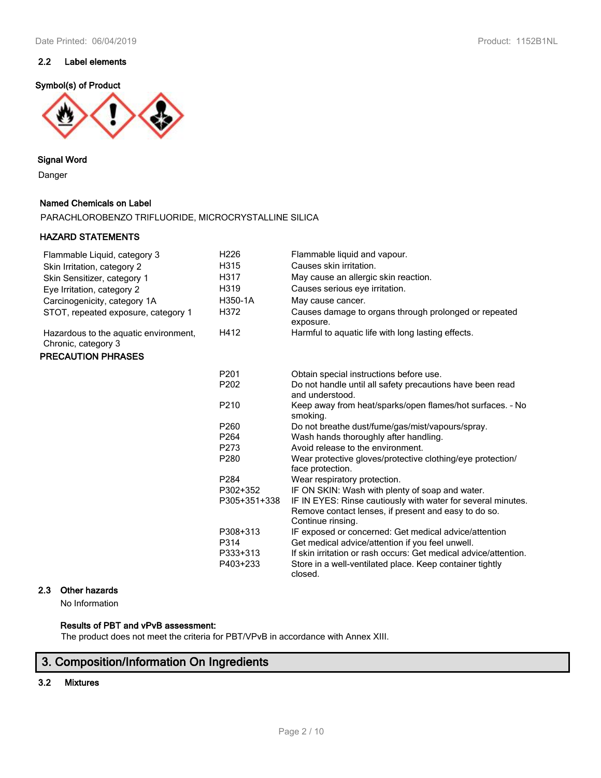## **2.2 Label elements**

#### **Symbol(s) of Product**



#### **Signal Word**

Danger

#### **Named Chemicals on Label**

PARACHLOROBENZO TRIFLUORIDE, MICROCRYSTALLINE SILICA

#### **HAZARD STATEMENTS**

| Flammable Liquid, category 3                                 | H <sub>226</sub> | Flammable liquid and vapour.                                                                                                              |
|--------------------------------------------------------------|------------------|-------------------------------------------------------------------------------------------------------------------------------------------|
| Skin Irritation, category 2                                  | H315             | Causes skin irritation.                                                                                                                   |
| Skin Sensitizer, category 1                                  | H317             | May cause an allergic skin reaction.                                                                                                      |
| Eye Irritation, category 2                                   | H319             | Causes serious eye irritation.                                                                                                            |
| Carcinogenicity, category 1A                                 | H350-1A          | May cause cancer.                                                                                                                         |
| STOT, repeated exposure, category 1                          | H372             | Causes damage to organs through prolonged or repeated<br>exposure.                                                                        |
| Hazardous to the aquatic environment,<br>Chronic, category 3 | H412             | Harmful to aquatic life with long lasting effects.                                                                                        |
| <b>PRECAUTION PHRASES</b>                                    |                  |                                                                                                                                           |
|                                                              | P <sub>201</sub> | Obtain special instructions before use.                                                                                                   |
|                                                              | P202             | Do not handle until all safety precautions have been read<br>and understood.                                                              |
|                                                              | P210             | Keep away from heat/sparks/open flames/hot surfaces. - No<br>smoking.                                                                     |
|                                                              | P260             | Do not breathe dust/fume/gas/mist/vapours/spray.                                                                                          |
|                                                              | P <sub>264</sub> | Wash hands thoroughly after handling.                                                                                                     |
|                                                              | P273             | Avoid release to the environment.                                                                                                         |
|                                                              | P280             | Wear protective gloves/protective clothing/eye protection/<br>face protection.                                                            |
|                                                              | P <sub>284</sub> | Wear respiratory protection.                                                                                                              |
|                                                              | P302+352         | IF ON SKIN: Wash with plenty of soap and water.                                                                                           |
|                                                              | P305+351+338     | IF IN EYES: Rinse cautiously with water for several minutes.<br>Remove contact lenses, if present and easy to do so.<br>Continue rinsing. |
|                                                              | P308+313         | IF exposed or concerned: Get medical advice/attention                                                                                     |
|                                                              | P314             | Get medical advice/attention if you feel unwell.                                                                                          |
|                                                              | P333+313         | If skin irritation or rash occurs: Get medical advice/attention.                                                                          |
|                                                              | P403+233         | Store in a well-ventilated place. Keep container tightly<br>closed.                                                                       |

## **2.3 Other hazards**

No Information

#### **Results of PBT and vPvB assessment:**

The product does not meet the criteria for PBT/VPvB in accordance with Annex XIII.

# **3. Composition/Information On Ingredients**

## **3.2 Mixtures**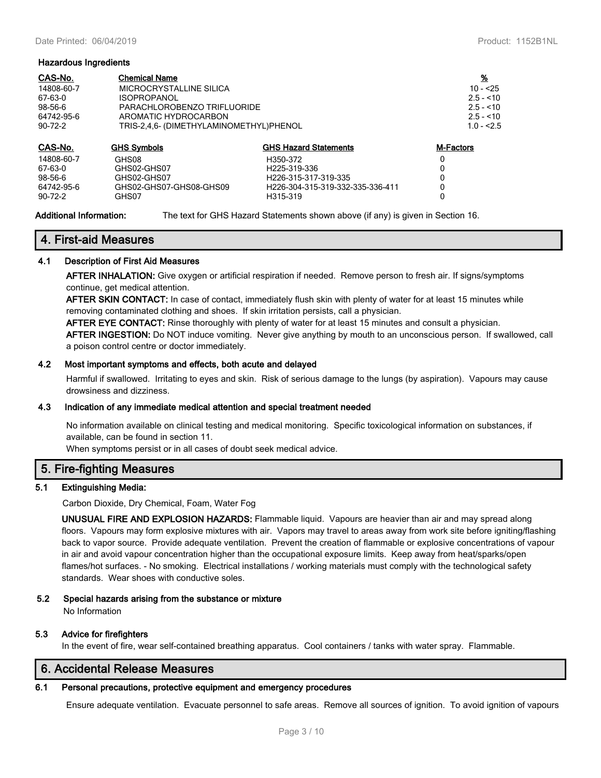#### **Hazardous Ingredients**

| CAS-No.       | <b>Chemical Name</b>                    |                                  | <u>%</u>         |  |
|---------------|-----------------------------------------|----------------------------------|------------------|--|
| 14808-60-7    | MICROCRYSTALLINE SILICA                 |                                  | $10 - 55$        |  |
| 67-63-0       | ISOPROPANOL                             |                                  | $2.5 - 10$       |  |
| $98-56-6$     | PARACHLOROBENZO TRIFLUORIDE             |                                  | $2.5 - 10$       |  |
| 64742-95-6    | AROMATIC HYDROCARBON                    |                                  | $2.5 - 10$       |  |
| $90 - 72 - 2$ | TRIS-2,4,6- (DIMETHYLAMINOMETHYL)PHENOL |                                  |                  |  |
| CAS-No.       | <b>GHS Symbols</b>                      | <b>GHS Hazard Statements</b>     | <b>M-Factors</b> |  |
| 14808-60-7    | GHS08                                   | H350-372                         |                  |  |
| 67-63-0       | GHS02-GHS07                             | H <sub>225</sub> -319-336        |                  |  |
| 98-56-6       | GHS02-GHS07                             | H226-315-317-319-335             |                  |  |
| 64742-95-6    | GHS02-GHS07-GHS08-GHS09                 | H226-304-315-319-332-335-336-411 |                  |  |
| $90 - 72 - 2$ | GHS07                                   | H315-319                         |                  |  |

#### **Additional Information:** The text for GHS Hazard Statements shown above (if any) is given in Section 16.

## **4. First-aid Measures**

#### **4.1 Description of First Aid Measures**

**AFTER INHALATION:** Give oxygen or artificial respiration if needed. Remove person to fresh air. If signs/symptoms continue, get medical attention.

**AFTER SKIN CONTACT:** In case of contact, immediately flush skin with plenty of water for at least 15 minutes while removing contaminated clothing and shoes. If skin irritation persists, call a physician.

**AFTER EYE CONTACT:** Rinse thoroughly with plenty of water for at least 15 minutes and consult a physician.

**AFTER INGESTION:** Do NOT induce vomiting. Never give anything by mouth to an unconscious person. If swallowed, call a poison control centre or doctor immediately.

#### **4.2 Most important symptoms and effects, both acute and delayed**

Harmful if swallowed. Irritating to eyes and skin. Risk of serious damage to the lungs (by aspiration). Vapours may cause drowsiness and dizziness.

#### **4.3 Indication of any immediate medical attention and special treatment needed**

No information available on clinical testing and medical monitoring. Specific toxicological information on substances, if available, can be found in section 11.

When symptoms persist or in all cases of doubt seek medical advice.

#### **5. Fire-fighting Measures**

#### **5.1 Extinguishing Media:**

Carbon Dioxide, Dry Chemical, Foam, Water Fog

**UNUSUAL FIRE AND EXPLOSION HAZARDS:** Flammable liquid. Vapours are heavier than air and may spread along floors. Vapours may form explosive mixtures with air. Vapors may travel to areas away from work site before igniting/flashing back to vapor source. Provide adequate ventilation. Prevent the creation of flammable or explosive concentrations of vapour in air and avoid vapour concentration higher than the occupational exposure limits. Keep away from heat/sparks/open flames/hot surfaces. - No smoking. Electrical installations / working materials must comply with the technological safety standards. Wear shoes with conductive soles.

#### **5.2 Special hazards arising from the substance or mixture**

No Information

#### **5.3 Advice for firefighters**

In the event of fire, wear self-contained breathing apparatus. Cool containers / tanks with water spray. Flammable.

## **6. Accidental Release Measures**

#### **6.1 Personal precautions, protective equipment and emergency procedures**

Ensure adequate ventilation. Evacuate personnel to safe areas. Remove all sources of ignition. To avoid ignition of vapours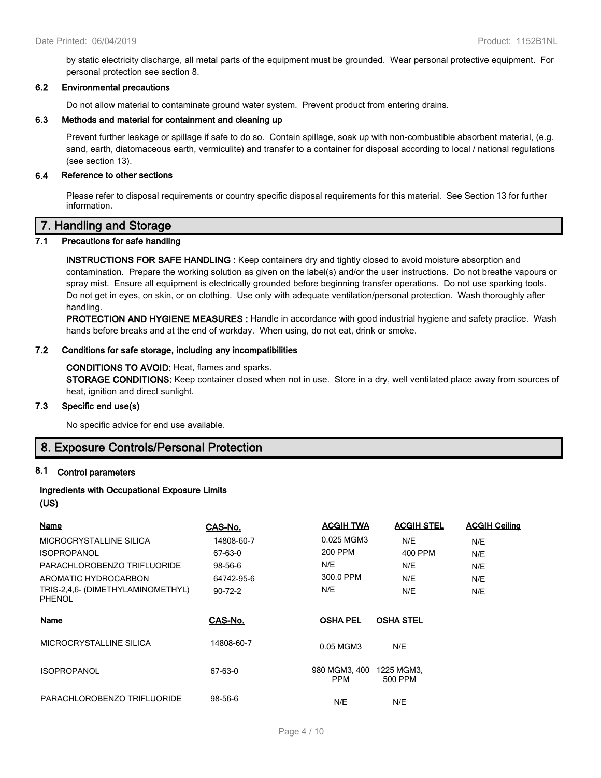by static electricity discharge, all metal parts of the equipment must be grounded. Wear personal protective equipment. For personal protection see section 8.

#### **6.2 Environmental precautions**

Do not allow material to contaminate ground water system. Prevent product from entering drains.

#### **6.3 Methods and material for containment and cleaning up**

Prevent further leakage or spillage if safe to do so. Contain spillage, soak up with non-combustible absorbent material, (e.g. sand, earth, diatomaceous earth, vermiculite) and transfer to a container for disposal according to local / national regulations (see section 13).

#### **6.4 Reference to other sections**

Please refer to disposal requirements or country specific disposal requirements for this material. See Section 13 for further information.

## **7. Handling and Storage**

#### **7.1 Precautions for safe handling**

**INSTRUCTIONS FOR SAFE HANDLING :** Keep containers dry and tightly closed to avoid moisture absorption and contamination. Prepare the working solution as given on the label(s) and/or the user instructions. Do not breathe vapours or spray mist. Ensure all equipment is electrically grounded before beginning transfer operations. Do not use sparking tools. Do not get in eyes, on skin, or on clothing. Use only with adequate ventilation/personal protection. Wash thoroughly after handling.

**PROTECTION AND HYGIENE MEASURES :** Handle in accordance with good industrial hygiene and safety practice. Wash hands before breaks and at the end of workday. When using, do not eat, drink or smoke.

#### **7.2 Conditions for safe storage, including any incompatibilities**

#### **CONDITIONS TO AVOID:** Heat, flames and sparks.

**STORAGE CONDITIONS:** Keep container closed when not in use. Store in a dry, well ventilated place away from sources of heat, ignition and direct sunlight.

#### **7.3 Specific end use(s)**

No specific advice for end use available.

## **8. Exposure Controls/Personal Protection**

#### **8.1 Control parameters**

#### **Ingredients with Occupational Exposure Limits (US)**

| <b>Name</b>                                        | CAS-No.       | <b>ACGIH TWA</b>            | <b>ACGIH STEL</b>     | <b>ACGIH Ceiling</b> |
|----------------------------------------------------|---------------|-----------------------------|-----------------------|----------------------|
| MICROCRYSTALLINE SILICA                            | 14808-60-7    | 0.025 MGM3                  | N/E                   | N/E                  |
| <b>ISOPROPANOL</b>                                 | 67-63-0       | 200 PPM                     | 400 PPM               | N/E                  |
| PARACHLOROBENZO TRIFLUORIDE                        | 98-56-6       | N/E                         | N/E                   | N/E                  |
| AROMATIC HYDROCARBON                               | 64742-95-6    | 300.0 PPM                   | N/E                   | N/E                  |
| TRIS-2,4,6- (DIMETHYLAMINOMETHYL)<br><b>PHENOL</b> | $90 - 72 - 2$ | N/E                         | N/E                   | N/E                  |
| Name                                               | CAS-No.       | <b>OSHA PEL</b>             | <b>OSHA STEL</b>      |                      |
| MICROCRYSTALLINE SILICA                            | 14808-60-7    | 0.05 MGM3                   | N/E                   |                      |
| <b>ISOPROPANOL</b>                                 | 67-63-0       | 980 MGM3, 400<br><b>PPM</b> | 1225 MGM3,<br>500 PPM |                      |
| PARACHLOROBENZO TRIFLUORIDE                        | 98-56-6       | N/E                         | N/E                   |                      |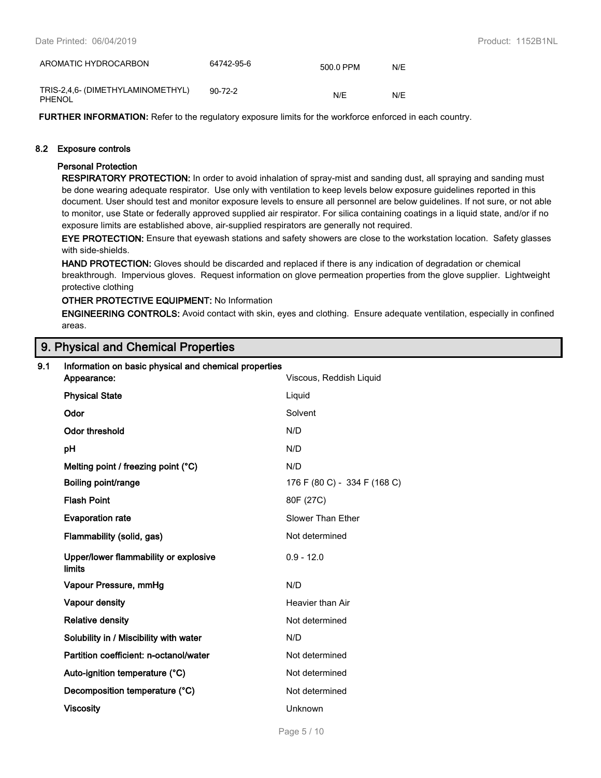| AROMATIC HYDROCARBON                        | 64742-95-6    | 500.0 PPM | N/E |
|---------------------------------------------|---------------|-----------|-----|
| TRIS-2,4,6- (DIMETHYLAMINOMETHYL)<br>PHENOL | $90 - 72 - 2$ | N/F       | N/F |

**FURTHER INFORMATION:** Refer to the regulatory exposure limits for the workforce enforced in each country.

#### **8.2 Exposure controls**

#### **Personal Protection**

**RESPIRATORY PROTECTION:** In order to avoid inhalation of spray-mist and sanding dust, all spraying and sanding must be done wearing adequate respirator. Use only with ventilation to keep levels below exposure guidelines reported in this document. User should test and monitor exposure levels to ensure all personnel are below guidelines. If not sure, or not able to monitor, use State or federally approved supplied air respirator. For silica containing coatings in a liquid state, and/or if no exposure limits are established above, air-supplied respirators are generally not required.

**EYE PROTECTION:** Ensure that eyewash stations and safety showers are close to the workstation location. Safety glasses with side-shields.

**HAND PROTECTION:** Gloves should be discarded and replaced if there is any indication of degradation or chemical breakthrough. Impervious gloves. Request information on glove permeation properties from the glove supplier. Lightweight protective clothing

#### **OTHER PROTECTIVE EQUIPMENT:** No Information

**ENGINEERING CONTROLS:** Avoid contact with skin, eyes and clothing. Ensure adequate ventilation, especially in confined areas.

## **9. Physical and Chemical Properties**

| 9.1 | Information on basic physical and chemical properties<br>Appearance: | Viscous, Reddish Liquid      |
|-----|----------------------------------------------------------------------|------------------------------|
|     | <b>Physical State</b>                                                | Liquid                       |
|     | Odor                                                                 | Solvent                      |
|     | Odor threshold                                                       | N/D                          |
|     | pH                                                                   | N/D                          |
|     | Melting point / freezing point (°C)                                  | N/D                          |
|     | Boiling point/range                                                  | 176 F (80 C) - 334 F (168 C) |
|     | <b>Flash Point</b>                                                   | 80F (27C)                    |
|     | <b>Evaporation rate</b>                                              | Slower Than Ether            |
|     | Flammability (solid, gas)                                            | Not determined               |
|     | Upper/lower flammability or explosive<br><b>limits</b>               | $0.9 - 12.0$                 |
|     | Vapour Pressure, mmHg                                                | N/D                          |
|     | Vapour density                                                       | Heavier than Air             |
|     | <b>Relative density</b>                                              | Not determined               |
|     | Solubility in / Miscibility with water                               | N/D                          |
|     | Partition coefficient: n-octanol/water                               | Not determined               |
|     | Auto-ignition temperature (°C)                                       | Not determined               |
|     | Decomposition temperature (°C)                                       | Not determined               |
|     | <b>Viscosity</b>                                                     | Unknown                      |
|     |                                                                      |                              |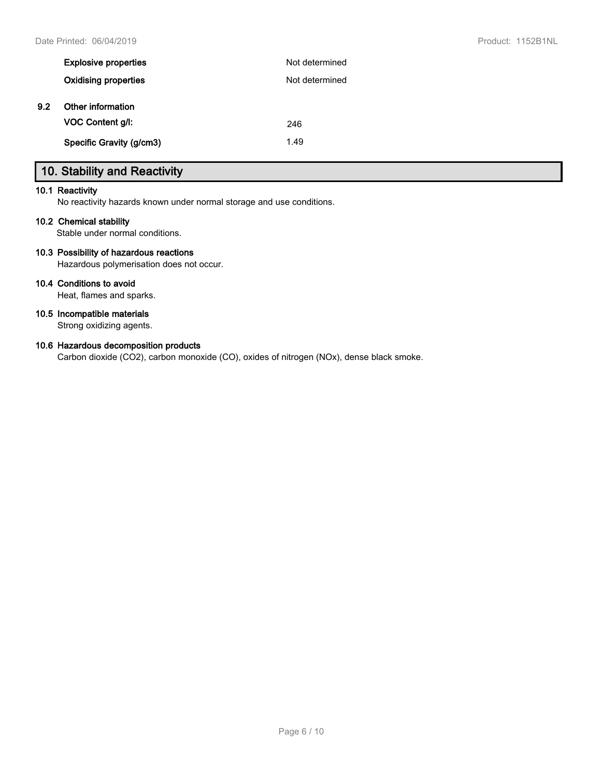| <b>Explosive properties</b> | Not determined |
|-----------------------------|----------------|
| <b>Oxidising properties</b> | Not determined |
| Other information           |                |
| VOC Content g/l:            | 246            |
| Specific Gravity (g/cm3)    | 1.49           |
|                             |                |

# **10. Stability and Reactivity**

#### **10.1 Reactivity**

No reactivity hazards known under normal storage and use conditions.

#### **10.2 Chemical stability**

Stable under normal conditions.

#### **10.3 Possibility of hazardous reactions**

Hazardous polymerisation does not occur.

#### **10.4 Conditions to avoid**

Heat, flames and sparks.

#### **10.5 Incompatible materials**

Strong oxidizing agents.

#### **10.6 Hazardous decomposition products**

Carbon dioxide (CO2), carbon monoxide (CO), oxides of nitrogen (NOx), dense black smoke.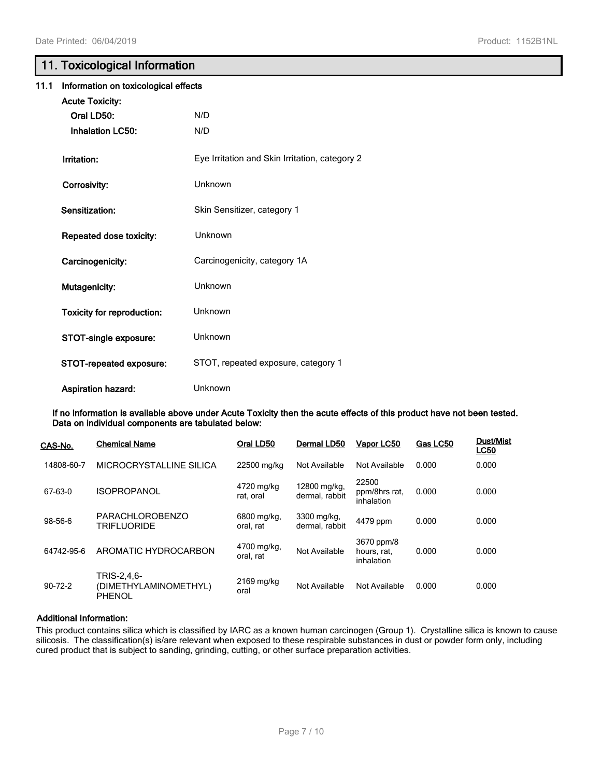## **11. Toxicological Information**

| 11.1 | Information on toxicological effects |                                                |  |  |  |
|------|--------------------------------------|------------------------------------------------|--|--|--|
|      | <b>Acute Toxicity:</b>               |                                                |  |  |  |
|      | Oral LD50:                           | N/D                                            |  |  |  |
|      | <b>Inhalation LC50:</b>              | N/D                                            |  |  |  |
|      | Irritation:                          | Eye Irritation and Skin Irritation, category 2 |  |  |  |
|      | Corrosivity:                         | Unknown                                        |  |  |  |
|      | Sensitization:                       | Skin Sensitizer, category 1                    |  |  |  |
|      | Repeated dose toxicity:              | Unknown                                        |  |  |  |
|      | Carcinogenicity:                     | Carcinogenicity, category 1A                   |  |  |  |
|      | Mutagenicity:                        | Unknown                                        |  |  |  |
|      | Toxicity for reproduction:           | Unknown                                        |  |  |  |
|      | STOT-single exposure:                | Unknown                                        |  |  |  |
|      | STOT-repeated exposure:              | STOT, repeated exposure, category 1            |  |  |  |
|      | Aspiration hazard:                   | Unknown                                        |  |  |  |

**If no information is available above under Acute Toxicity then the acute effects of this product have not been tested. Data on individual components are tabulated below:**

| CAS-No.       | <b>Chemical Name</b>                                  | Oral LD50                | Dermal LD50                    | Vapor LC50                              | Gas LC50 | <b>Dust/Mist</b><br><b>LC50</b> |
|---------------|-------------------------------------------------------|--------------------------|--------------------------------|-----------------------------------------|----------|---------------------------------|
| 14808-60-7    | MICROCRYSTALLINE SILICA                               | 22500 mg/kg              | Not Available                  | Not Available                           | 0.000    | 0.000                           |
| 67-63-0       | <b>ISOPROPANOL</b>                                    | 4720 mg/kg<br>rat. oral  | 12800 mg/kg.<br>dermal, rabbit | 22500<br>ppm/8hrs rat.<br>inhalation    | 0.000    | 0.000                           |
| 98-56-6       | <b>PARACHLOROBENZO</b><br><b>TRIFLUORIDE</b>          | 6800 mg/kg.<br>oral. rat | 3300 mg/kg,<br>dermal. rabbit  | 4479 ppm                                | 0.000    | 0.000                           |
| 64742-95-6    | AROMATIC HYDROCARBON                                  | 4700 mg/kg,<br>oral, rat | Not Available                  | 3670 ppm/8<br>hours, rat,<br>inhalation | 0.000    | 0.000                           |
| $90 - 72 - 2$ | TRIS-2,4,6-<br>(DIMETHYLAMINOMETHYL)<br><b>PHENOL</b> | 2169 mg/kg<br>oral       | Not Available                  | Not Available                           | 0.000    | 0.000                           |

#### **Additional Information:**

This product contains silica which is classified by IARC as a known human carcinogen (Group 1). Crystalline silica is known to cause silicosis. The classification(s) is/are relevant when exposed to these respirable substances in dust or powder form only, including cured product that is subject to sanding, grinding, cutting, or other surface preparation activities.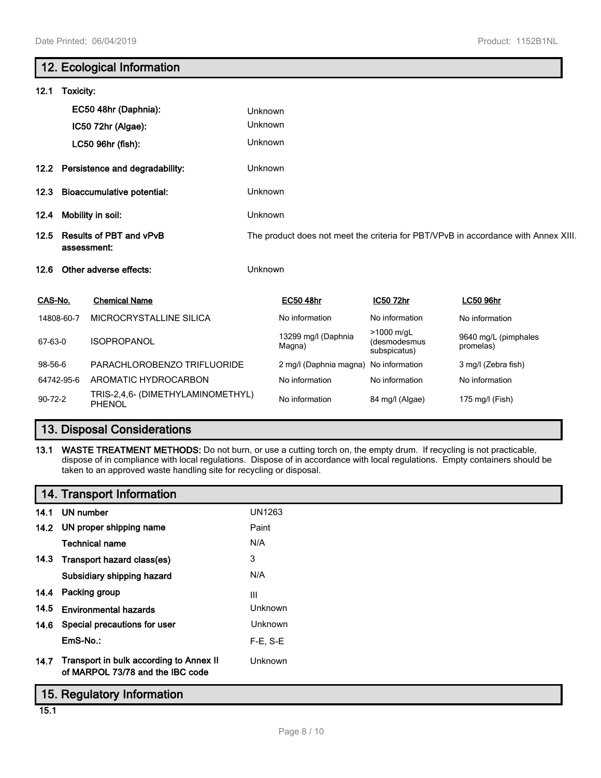|                                                       |                        | 12. Ecological Information                                                         |         |                               |                                            |                                   |  |
|-------------------------------------------------------|------------------------|------------------------------------------------------------------------------------|---------|-------------------------------|--------------------------------------------|-----------------------------------|--|
| 12.1                                                  | Toxicity:              |                                                                                    |         |                               |                                            |                                   |  |
|                                                       |                        | EC50 48hr (Daphnia):                                                               | Unknown |                               |                                            |                                   |  |
|                                                       |                        | IC50 72hr (Algae):                                                                 | Unknown |                               |                                            |                                   |  |
|                                                       |                        | LC50 96hr (fish):                                                                  | Unknown |                               |                                            |                                   |  |
| 12.2 Persistence and degradability:                   |                        | Unknown                                                                            |         |                               |                                            |                                   |  |
| 12.3                                                  |                        | <b>Bioaccumulative potential:</b>                                                  | Unknown |                               |                                            |                                   |  |
| 12.4                                                  |                        | Mobility in soil:                                                                  | Unknown |                               |                                            |                                   |  |
| <b>Results of PBT and vPvB</b><br>12.5<br>assessment: |                        | The product does not meet the criteria for PBT/VPvB in accordance with Annex XIII. |         |                               |                                            |                                   |  |
| 12.6                                                  | Other adverse effects: |                                                                                    | Unknown |                               |                                            |                                   |  |
| CAS-No.                                               |                        | <b>Chemical Name</b>                                                               |         | <b>EC50 48hr</b>              | IC50 72hr                                  | <b>LC50 96hr</b>                  |  |
|                                                       | 14808-60-7             | MICROCRYSTALLINE SILICA                                                            |         | No information                | No information                             | No information                    |  |
| 67-63-0                                               |                        | <b>ISOPROPANOL</b>                                                                 |         | 13299 mg/l (Daphnia<br>Magna) | >1000 m/gL<br>(desmodesmus<br>subspicatus) | 9640 mg/L (pimphales<br>promelas) |  |
| 98-56-6                                               |                        | PARACHLOROBENZO TRIFLUORIDE                                                        |         | 2 mg/l (Daphnia magna)        | No information                             | 3 mg/l (Zebra fish)               |  |
|                                                       | 64742-95-6             | AROMATIC HYDROCARBON                                                               |         | No information                | No information                             | No information                    |  |
| $90 - 72 - 2$                                         |                        | TRIS-2,4,6- (DIMETHYLAMINOMETHYL)<br>PHENOL                                        |         | No information                | 84 mg/l (Algae)                            | 175 mg/l (Fish)                   |  |

# **13. Disposal Considerations**

**13.1 WASTE TREATMENT METHODS:** Do not burn, or use a cutting torch on, the empty drum. If recycling is not practicable, dispose of in compliance with local regulations. Dispose of in accordance with local regulations. Empty containers should be taken to an approved waste handling site for recycling or disposal.

|      | 14. Transport Information                                                   |                |
|------|-----------------------------------------------------------------------------|----------------|
|      | 14.1 UN number                                                              | <b>UN1263</b>  |
|      | 14.2 UN proper shipping name                                                | Paint          |
|      | <b>Technical name</b>                                                       | N/A            |
|      | 14.3 Transport hazard class(es)                                             | 3              |
|      | Subsidiary shipping hazard                                                  | N/A            |
|      | 14.4 Packing group                                                          | Ш              |
| 14.5 | <b>Environmental hazards</b>                                                | <b>Unknown</b> |
|      | 14.6 Special precautions for user                                           | <b>Unknown</b> |
|      | EmS-No.:                                                                    | $F-E$ , S-E    |
| 14.7 | Transport in bulk according to Annex II<br>of MARPOL 73/78 and the IBC code | Unknown        |
|      | 15. Regulatory Information                                                  |                |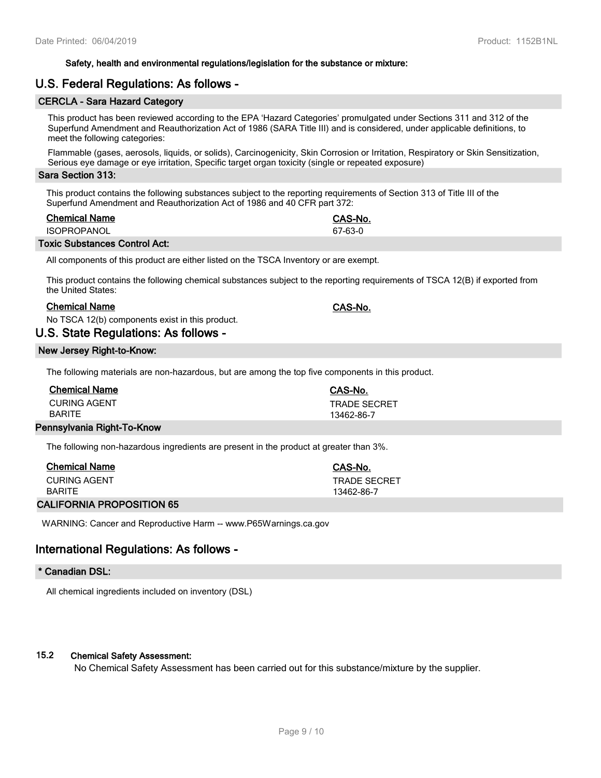#### **Safety, health and environmental regulations/legislation for the substance or mixture:**

## **U.S. Federal Regulations: As follows -**

#### **CERCLA - Sara Hazard Category**

This product has been reviewed according to the EPA 'Hazard Categories' promulgated under Sections 311 and 312 of the Superfund Amendment and Reauthorization Act of 1986 (SARA Title III) and is considered, under applicable definitions, to meet the following categories:

Flammable (gases, aerosols, liquids, or solids), Carcinogenicity, Skin Corrosion or Irritation, Respiratory or Skin Sensitization, Serious eye damage or eye irritation, Specific target organ toxicity (single or repeated exposure)

#### **Sara Section 313:**

This product contains the following substances subject to the reporting requirements of Section 313 of Title III of the Superfund Amendment and Reauthorization Act of 1986 and 40 CFR part 372:

#### **Chemical Name CAS-No.**

ISOPROPANOL 67-63-0

#### **Toxic Substances Control Act:**

All components of this product are either listed on the TSCA Inventory or are exempt.

This product contains the following chemical substances subject to the reporting requirements of TSCA 12(B) if exported from the United States:

#### **Chemical Name CAS-No.**

No TSCA 12(b) components exist in this product.

### **U.S. State Regulations: As follows -**

#### **New Jersey Right-to-Know:**

The following materials are non-hazardous, but are among the top five components in this product.

| <b>Chemical Name</b>          | CAS-No.             |
|-------------------------------|---------------------|
| CURING AGENT<br><b>BARITE</b> | <b>TRADE SECRET</b> |
|                               | 13462-86-7          |

#### **Pennsylvania Right-To-Know**

The following non-hazardous ingredients are present in the product at greater than 3%.

| <b>Chemical Name</b> | CAS-No.             |
|----------------------|---------------------|
| CURING AGENT         | <b>TRADE SECRET</b> |
| <b>BARITE</b>        | 13462-86-7          |

#### **CALIFORNIA PROPOSITION 65**

WARNING: Cancer and Reproductive Harm -- www.P65Warnings.ca.gov

## **International Regulations: As follows -**

#### **\* Canadian DSL:**

All chemical ingredients included on inventory (DSL)

#### **15.2 Chemical Safety Assessment:**

No Chemical Safety Assessment has been carried out for this substance/mixture by the supplier.